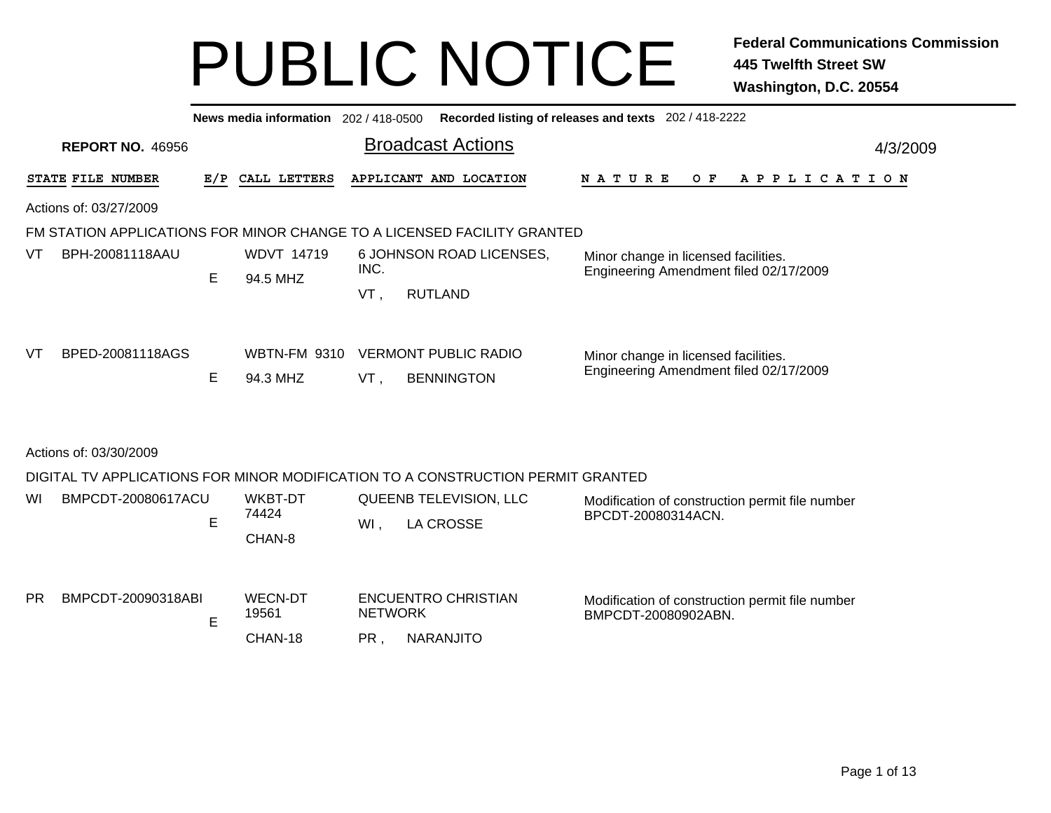|           |                         |     | News media information 202 / 418-0500 |                       |                                                                                 | Recorded listing of releases and texts 202 / 418-2222                          |          |
|-----------|-------------------------|-----|---------------------------------------|-----------------------|---------------------------------------------------------------------------------|--------------------------------------------------------------------------------|----------|
|           | <b>REPORT NO. 46956</b> |     |                                       |                       | <b>Broadcast Actions</b>                                                        |                                                                                | 4/3/2009 |
|           | STATE FILE NUMBER       | E/P | CALL LETTERS                          |                       | APPLICANT AND LOCATION                                                          | O F<br>N A T U R E<br>A P P L I C A T I O N                                    |          |
|           | Actions of: 03/27/2009  |     |                                       |                       |                                                                                 |                                                                                |          |
|           |                         |     |                                       |                       | FM STATION APPLICATIONS FOR MINOR CHANGE TO A LICENSED FACILITY GRANTED         |                                                                                |          |
| VT        | BPH-20081118AAU         |     | <b>WDVT 14719</b>                     |                       | 6 JOHNSON ROAD LICENSES,                                                        | Minor change in licensed facilities.                                           |          |
|           |                         | E   | 94.5 MHZ                              | INC.                  |                                                                                 | Engineering Amendment filed 02/17/2009                                         |          |
|           |                         |     |                                       | VT,                   | <b>RUTLAND</b>                                                                  |                                                                                |          |
| VT        | BPED-20081118AGS        | E   | <b>WBTN-FM 9310</b><br>94.3 MHZ       | VT,                   | <b>VERMONT PUBLIC RADIO</b><br><b>BENNINGTON</b>                                | Minor change in licensed facilities.<br>Engineering Amendment filed 02/17/2009 |          |
|           | Actions of: 03/30/2009  |     |                                       |                       |                                                                                 |                                                                                |          |
|           |                         |     |                                       |                       | DIGITAL TV APPLICATIONS FOR MINOR MODIFICATION TO A CONSTRUCTION PERMIT GRANTED |                                                                                |          |
| WI        | BMPCDT-20080617ACU      | E   | <b>WKBT-DT</b><br>74424<br>CHAN-8     | WI,                   | QUEENB TELEVISION, LLC<br><b>LA CROSSE</b>                                      | Modification of construction permit file number<br>BPCDT-20080314ACN.          |          |
| <b>PR</b> | BMPCDT-20090318ABI      | E   | <b>WECN-DT</b><br>19561<br>CHAN-18    | <b>NETWORK</b><br>PR, | <b>ENCUENTRO CHRISTIAN</b><br><b>NARANJITO</b>                                  | Modification of construction permit file number<br>BMPCDT-20080902ABN.         |          |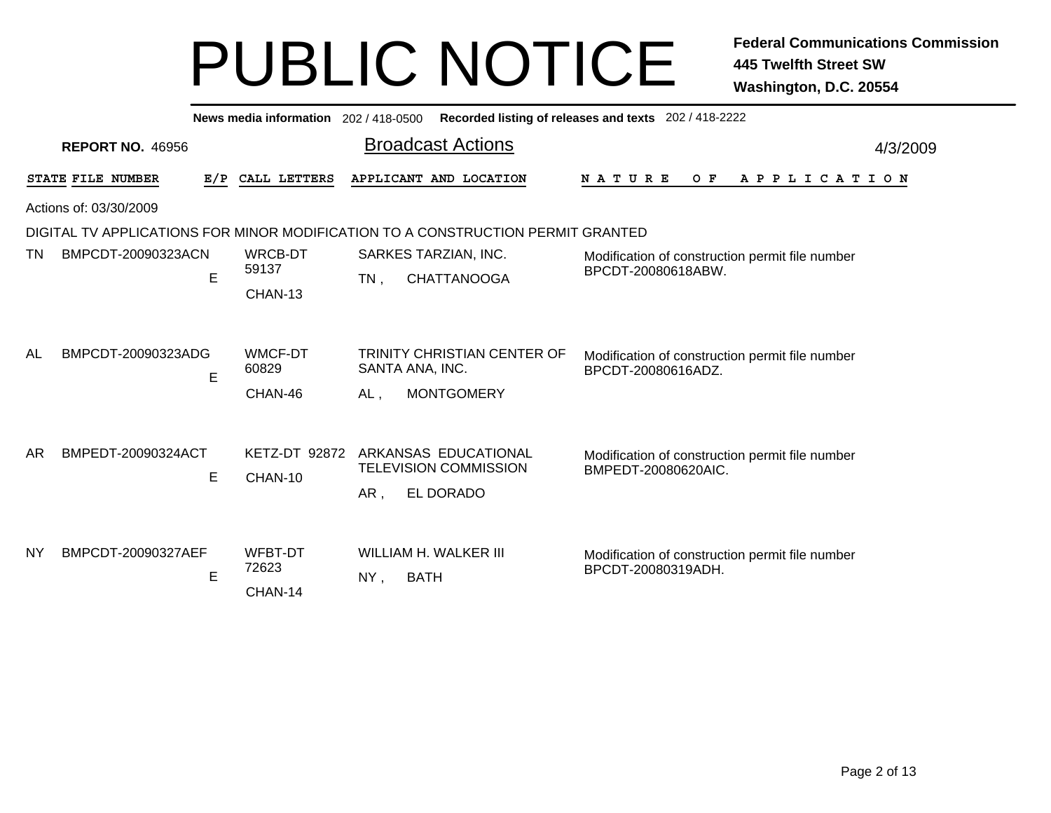|                          |                         |            |                  |                    | News media information 202 / 418-0500 Recorded listing of releases and texts 202 / 418-2222 |                                                                       |          |
|--------------------------|-------------------------|------------|------------------|--------------------|---------------------------------------------------------------------------------------------|-----------------------------------------------------------------------|----------|
|                          | <b>REPORT NO. 46956</b> |            |                  |                    | <b>Broadcast Actions</b>                                                                    |                                                                       | 4/3/2009 |
|                          | STATE FILE NUMBER       | E/P        | CALL LETTERS     |                    | APPLICANT AND LOCATION                                                                      | A P P L I C A T I O N<br>N A T U R E<br>O F                           |          |
|                          | Actions of: 03/30/2009  |            |                  |                    |                                                                                             |                                                                       |          |
|                          |                         |            |                  |                    | DIGITAL TV APPLICATIONS FOR MINOR MODIFICATION TO A CONSTRUCTION PERMIT GRANTED             |                                                                       |          |
| BMPCDT-20090323ACN<br>TN |                         |            | WRCB-DT          |                    | SARKES TARZIAN, INC.                                                                        | Modification of construction permit file number                       |          |
|                          |                         | E          | 59137            | $TN$ ,             | <b>CHATTANOOGA</b>                                                                          | BPCDT-20080618ABW.                                                    |          |
|                          |                         |            | CHAN-13          |                    |                                                                                             |                                                                       |          |
|                          |                         |            |                  |                    |                                                                                             |                                                                       |          |
| AL                       | BMPCDT-20090323ADG      |            | WMCF-DT<br>60829 |                    | <b>TRINITY CHRISTIAN CENTER OF</b><br>SANTA ANA, INC.                                       | Modification of construction permit file number<br>BPCDT-20080616ADZ. |          |
|                          |                         | E          | CHAN-46          | AL,                | <b>MONTGOMERY</b>                                                                           |                                                                       |          |
|                          |                         |            |                  |                    |                                                                                             |                                                                       |          |
| AR                       | BMPEDT-20090324ACT      |            | KETZ-DT 92872    |                    | ARKANSAS EDUCATIONAL                                                                        | Modification of construction permit file number                       |          |
|                          |                         | E          | CHAN-10          |                    | <b>TELEVISION COMMISSION</b>                                                                | BMPEDT-20080620AIC.                                                   |          |
|                          |                         |            |                  | $AR$ ,             | EL DORADO                                                                                   |                                                                       |          |
|                          |                         |            |                  |                    |                                                                                             |                                                                       |          |
| <b>NY</b>                | BMPCDT-20090327AEF      |            | <b>WFBT-DT</b>   |                    | WILLIAM H. WALKER III                                                                       | Modification of construction permit file number                       |          |
|                          |                         | 72623<br>E |                  | <b>BATH</b><br>NY, |                                                                                             | BPCDT-20080319ADH.                                                    |          |
|                          |                         |            | CHAN-14          |                    |                                                                                             |                                                                       |          |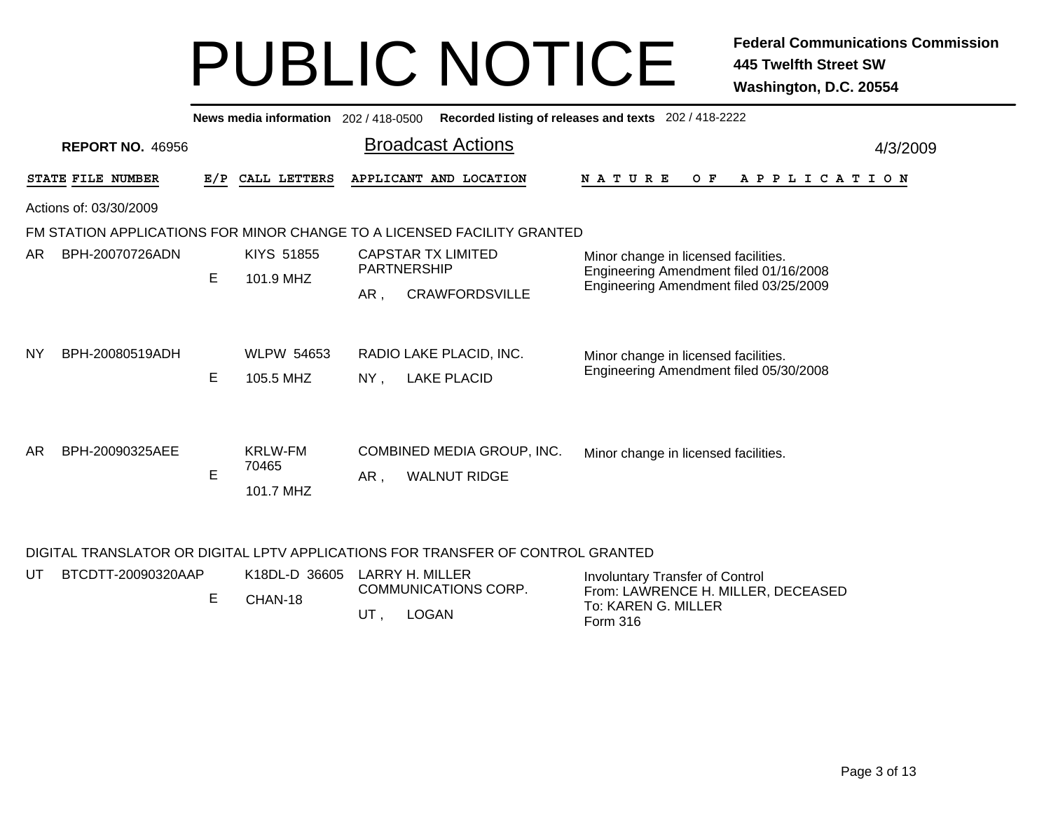|    |                                                                         |     | News media information 202 / 418-0500 |        |                    | Recorded listing of releases and texts 202 / 418-2222 |                                        |                                                                                |  |  |     |  |                       |  |  |          |
|----|-------------------------------------------------------------------------|-----|---------------------------------------|--------|--------------------|-------------------------------------------------------|----------------------------------------|--------------------------------------------------------------------------------|--|--|-----|--|-----------------------|--|--|----------|
|    | <b>REPORT NO. 46956</b>                                                 |     |                                       |        |                    | <b>Broadcast Actions</b>                              |                                        |                                                                                |  |  |     |  |                       |  |  | 4/3/2009 |
|    | STATE FILE NUMBER                                                       | E/P | CALL LETTERS                          |        |                    | APPLICANT AND LOCATION                                |                                        | <b>NATURE</b>                                                                  |  |  | O F |  | A P P L I C A T I O N |  |  |          |
|    | Actions of: 03/30/2009                                                  |     |                                       |        |                    |                                                       |                                        |                                                                                |  |  |     |  |                       |  |  |          |
|    | FM STATION APPLICATIONS FOR MINOR CHANGE TO A LICENSED FACILITY GRANTED |     |                                       |        |                    |                                                       |                                        |                                                                                |  |  |     |  |                       |  |  |          |
| AR | BPH-20070726ADN                                                         | E   | KIYS 51855<br>101.9 MHZ               |        | <b>PARTNERSHIP</b> | <b>CAPSTAR TX LIMITED</b>                             |                                        | Minor change in licensed facilities.<br>Engineering Amendment filed 01/16/2008 |  |  |     |  |                       |  |  |          |
|    |                                                                         |     |                                       | AR,    |                    | <b>CRAWFORDSVILLE</b>                                 | Engineering Amendment filed 03/25/2009 |                                                                                |  |  |     |  |                       |  |  |          |
| ΝY | BPH-20080519ADH                                                         | E   | <b>WLPW 54653</b><br>105.5 MHZ        | $NY$ , |                    | RADIO LAKE PLACID, INC.<br><b>LAKE PLACID</b>         |                                        | Minor change in licensed facilities.<br>Engineering Amendment filed 05/30/2008 |  |  |     |  |                       |  |  |          |
| AR | BPH-20090325AEE                                                         | E   | <b>KRLW-FM</b><br>70465<br>101.7 MHZ  | AR,    |                    | COMBINED MEDIA GROUP, INC.<br><b>WALNUT RIDGE</b>     |                                        | Minor change in licensed facilities.                                           |  |  |     |  |                       |  |  |          |

#### DIGITAL TRANSLATOR OR DIGITAL LPTV APPLICATIONS FOR TRANSFER OF CONTROL GRANTED

| UT | BTCDTT-20090320AAP | K18DL-D 36605 LARRY H. MILLER |    |                               | Involuntary Transfer of Control                           |
|----|--------------------|-------------------------------|----|-------------------------------|-----------------------------------------------------------|
|    |                    | CHAN-18                       | UT | COMMUNICATIONS CORP.<br>LOGAN | From: LAWRENCE H. MILLER, DECEASED<br>To: KAREN G. MILLER |
|    |                    |                               |    |                               | Form 316                                                  |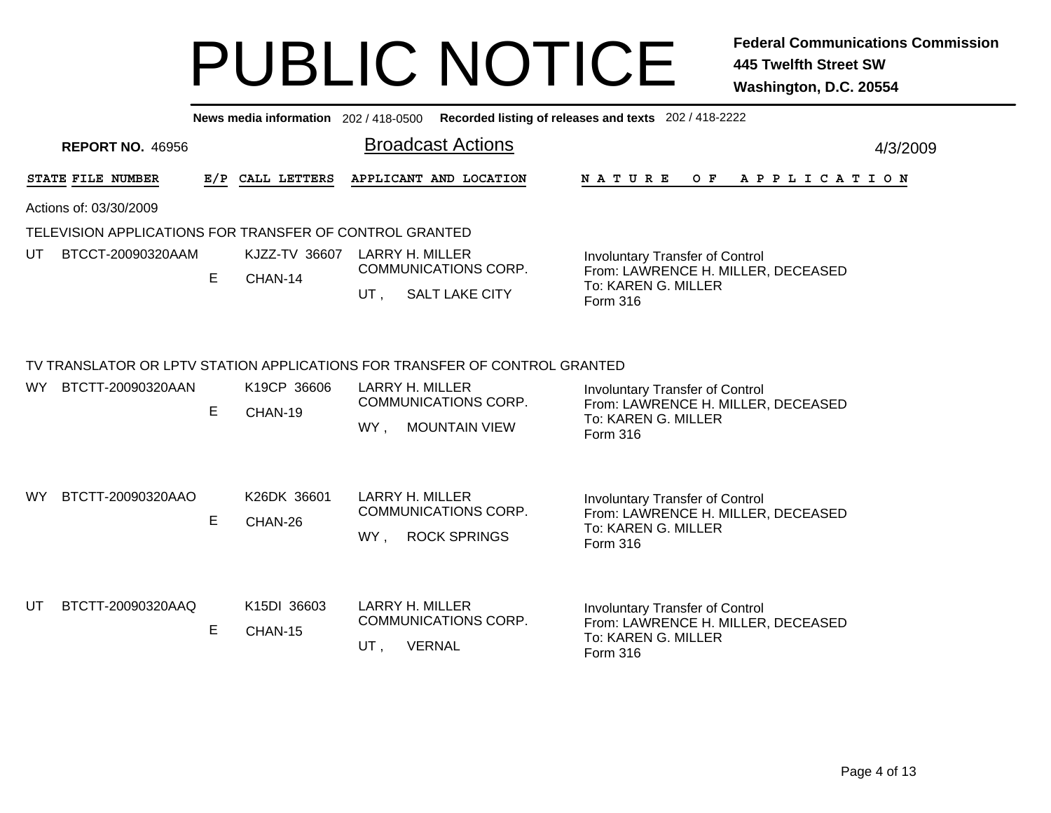**News media information** 202 / 418-0500**Recorded listing of releases and texts** 202 / 418-2222

| <b>REPORT NO. 46956</b>                                 |   |                          | <b>Broadcast Actions</b>                                                                                                                                    |                                                                                                                 | 4/3/2009 |
|---------------------------------------------------------|---|--------------------------|-------------------------------------------------------------------------------------------------------------------------------------------------------------|-----------------------------------------------------------------------------------------------------------------|----------|
| STATE FILE NUMBER                                       |   | E/P CALL LETTERS         | APPLICANT AND LOCATION                                                                                                                                      | NATURE<br>$O$ $\bf{F}$<br>A P P L I C A T I O N                                                                 |          |
| Actions of: 03/30/2009                                  |   |                          |                                                                                                                                                             |                                                                                                                 |          |
| TELEVISION APPLICATIONS FOR TRANSFER OF CONTROL GRANTED |   |                          |                                                                                                                                                             |                                                                                                                 |          |
| BTCCT-20090320AAM<br>UT                                 | E | KJZZ-TV 36607<br>CHAN-14 | <b>LARRY H. MILLER</b><br>COMMUNICATIONS CORP.<br><b>SALT LAKE CITY</b><br>UT,                                                                              | Involuntary Transfer of Control<br>From: LAWRENCE H. MILLER, DECEASED<br>To: KAREN G. MILLER<br>Form 316        |          |
| BTCTT-20090320AAN<br>WY.                                | E | K19CP 36606<br>CHAN-19   | TV TRANSLATOR OR LPTV STATION APPLICATIONS FOR TRANSFER OF CONTROL GRANTED<br><b>LARRY H. MILLER</b><br>COMMUNICATIONS CORP.<br><b>MOUNTAIN VIEW</b><br>WY. | Involuntary Transfer of Control<br>From: LAWRENCE H. MILLER, DECEASED<br>To: KAREN G. MILLER<br>Form 316        |          |
| BTCTT-20090320AAO<br>WY.                                | E | K26DK 36601<br>CHAN-26   | LARRY H. MILLER<br><b>COMMUNICATIONS CORP.</b><br><b>ROCK SPRINGS</b><br>WY,                                                                                | <b>Involuntary Transfer of Control</b><br>From: LAWRENCE H. MILLER, DECEASED<br>To: KAREN G. MILLER<br>Form 316 |          |
| BTCTT-20090320AAQ<br>UT                                 | Е | K15DI 36603<br>CHAN-15   | LARRY H. MILLER<br><b>COMMUNICATIONS CORP.</b><br><b>VERNAL</b><br>UT,                                                                                      | Involuntary Transfer of Control<br>From: LAWRENCE H. MILLER, DECEASED<br>To: KAREN G. MILLER<br>Form 316        |          |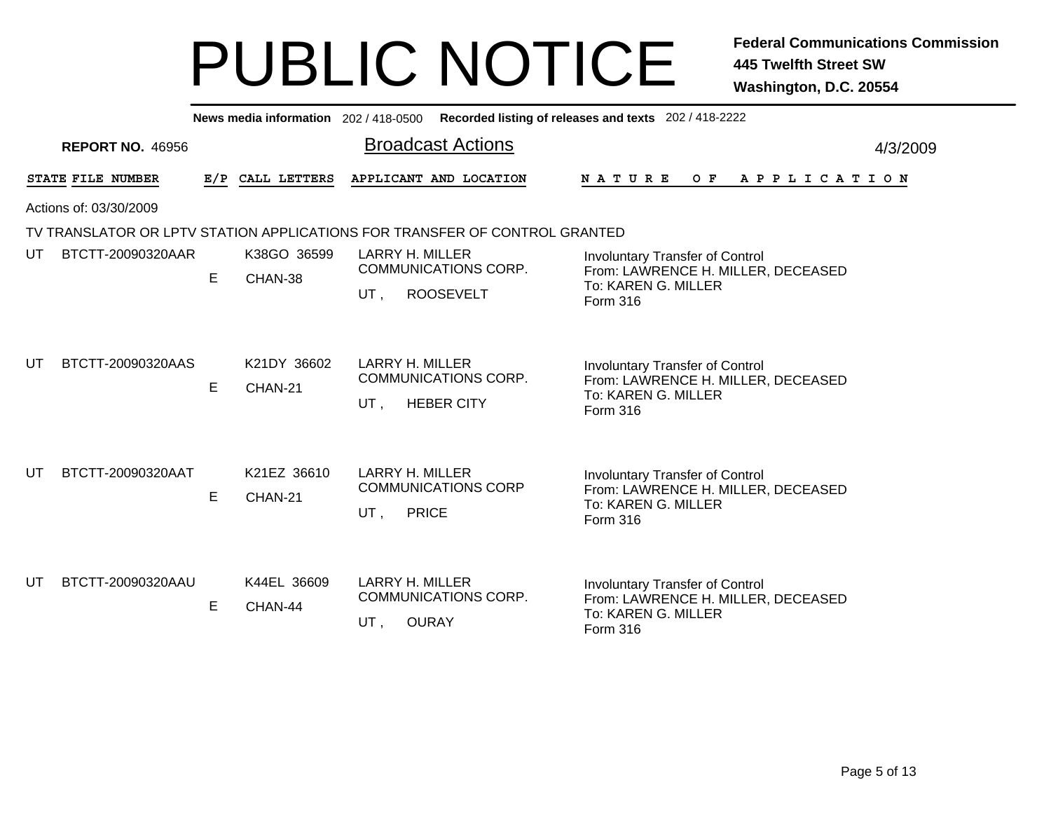|     |                         |   |                        | News media information 202 / 418-0500 Recorded listing of releases and texts 202 / 418-2222 |                                                                                                                 |          |
|-----|-------------------------|---|------------------------|---------------------------------------------------------------------------------------------|-----------------------------------------------------------------------------------------------------------------|----------|
|     | <b>REPORT NO. 46956</b> |   |                        | <b>Broadcast Actions</b>                                                                    |                                                                                                                 | 4/3/2009 |
|     | STATE FILE NUMBER       |   | E/P CALL LETTERS       | APPLICANT AND LOCATION                                                                      | <b>NATURE</b><br>O F<br>A P P L I C A T I O N                                                                   |          |
|     | Actions of: 03/30/2009  |   |                        |                                                                                             |                                                                                                                 |          |
|     |                         |   |                        | TV TRANSLATOR OR LPTV STATION APPLICATIONS FOR TRANSFER OF CONTROL GRANTED                  |                                                                                                                 |          |
| UT. | BTCTT-20090320AAR       | E | K38GO 36599<br>CHAN-38 | LARRY H. MILLER<br><b>COMMUNICATIONS CORP.</b><br><b>ROOSEVELT</b><br>UT,                   | <b>Involuntary Transfer of Control</b><br>From: LAWRENCE H. MILLER, DECEASED<br>To: KAREN G. MILLER<br>Form 316 |          |
| UT  | BTCTT-20090320AAS       | E | K21DY 36602<br>CHAN-21 | LARRY H. MILLER<br><b>COMMUNICATIONS CORP.</b><br><b>HEBER CITY</b><br>UT,                  | <b>Involuntary Transfer of Control</b><br>From: LAWRENCE H. MILLER, DECEASED<br>To: KAREN G. MILLER<br>Form 316 |          |
| UT  | BTCTT-20090320AAT       | E | K21EZ 36610<br>CHAN-21 | LARRY H. MILLER<br><b>COMMUNICATIONS CORP</b><br><b>PRICE</b><br>UT,                        | <b>Involuntary Transfer of Control</b><br>From: LAWRENCE H. MILLER, DECEASED<br>To: KAREN G. MILLER<br>Form 316 |          |
| UT  | BTCTT-20090320AAU       | E | K44EL 36609<br>CHAN-44 | LARRY H. MILLER<br>COMMUNICATIONS CORP.<br><b>OURAY</b><br>UT,                              | <b>Involuntary Transfer of Control</b><br>From: LAWRENCE H. MILLER, DECEASED<br>To: KAREN G. MILLER<br>Form 316 |          |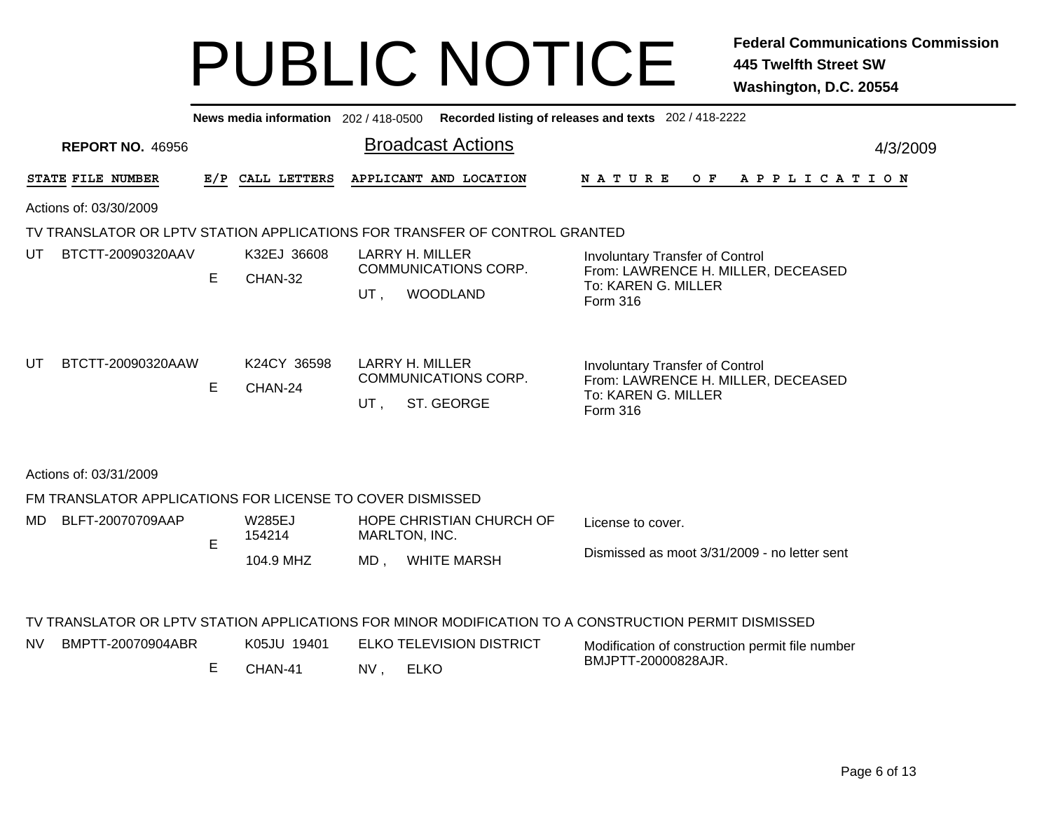|     |                                                           |   |                        |                        |                                                                            | News media information 202 / 418-0500 Recorded listing of releases and texts 202 / 418-2222                                                                                    |          |
|-----|-----------------------------------------------------------|---|------------------------|------------------------|----------------------------------------------------------------------------|--------------------------------------------------------------------------------------------------------------------------------------------------------------------------------|----------|
|     | <b>REPORT NO. 46956</b>                                   |   |                        |                        | <b>Broadcast Actions</b>                                                   |                                                                                                                                                                                | 4/3/2009 |
|     | STATE FILE NUMBER                                         |   | E/P CALL LETTERS       |                        | APPLICANT AND LOCATION                                                     | $O$ $F$<br><b>NATURE</b><br>A P P L I C A T I O N                                                                                                                              |          |
|     | Actions of: 03/30/2009                                    |   |                        |                        |                                                                            |                                                                                                                                                                                |          |
|     |                                                           |   |                        |                        | TV TRANSLATOR OR LPTV STATION APPLICATIONS FOR TRANSFER OF CONTROL GRANTED |                                                                                                                                                                                |          |
| UT  | BTCTT-20090320AAV                                         | E | K32EJ 36608<br>CHAN-32 | LARRY H. MILLER<br>UT, | <b>COMMUNICATIONS CORP.</b><br><b>WOODLAND</b>                             | <b>Involuntary Transfer of Control</b><br>From: LAWRENCE H. MILLER, DECEASED<br>To: KAREN G. MILLER<br>Form 316                                                                |          |
| UT  | BTCTT-20090320AAW                                         | Е | K24CY 36598<br>CHAN-24 | LARRY H. MILLER<br>UT, | COMMUNICATIONS CORP.<br>ST. GEORGE                                         | <b>Involuntary Transfer of Control</b><br>From: LAWRENCE H. MILLER, DECEASED<br>To: KAREN G. MILLER<br>Form 316                                                                |          |
|     | Actions of: 03/31/2009                                    |   |                        |                        |                                                                            |                                                                                                                                                                                |          |
|     | FM TRANSLATOR APPLICATIONS FOR LICENSE TO COVER DISMISSED |   |                        |                        |                                                                            |                                                                                                                                                                                |          |
| MD  | BLFT-20070709AAP                                          | E | W285EJ<br>154214       | MARLTON, INC.          | HOPE CHRISTIAN CHURCH OF                                                   | License to cover.                                                                                                                                                              |          |
|     |                                                           |   | 104.9 MHZ              |                        | MD, WHITE MARSH                                                            | Dismissed as moot 3/31/2009 - no letter sent                                                                                                                                   |          |
| NV. | BMPTT-20070904ABR                                         | E | K05JU 19401<br>CHAN-41 | NV,                    | ELKO TELEVISION DISTRICT<br><b>ELKO</b>                                    | TV TRANSLATOR OR LPTV STATION APPLICATIONS FOR MINOR MODIFICATION TO A CONSTRUCTION PERMIT DISMISSED<br>Modification of construction permit file number<br>BMJPTT-20000828AJR. |          |
|     |                                                           |   |                        |                        |                                                                            |                                                                                                                                                                                |          |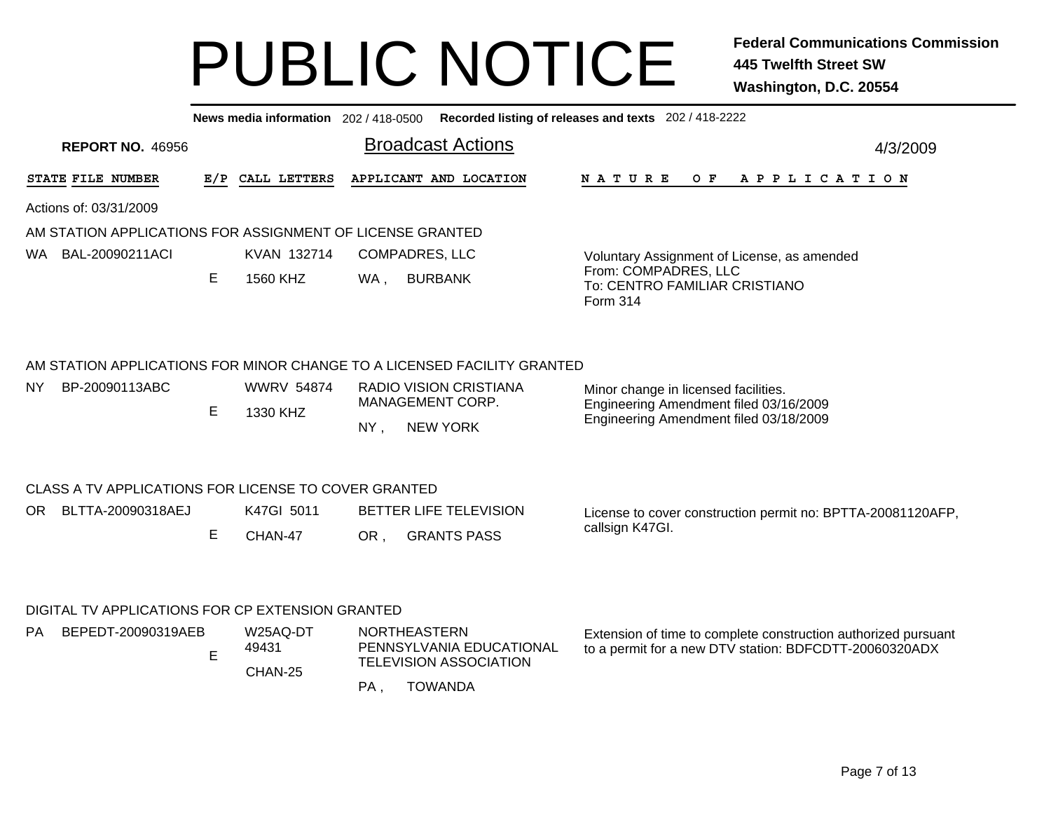**News media information** 202 / 418-0500**Recorded listing of releases and texts** 202 / 418-2222

|     | <b>REPORT NO. 46956</b>                              |   |                   | <b>Broadcast Actions</b>                                                |                                                                                | 4/3/2009 |  |
|-----|------------------------------------------------------|---|-------------------|-------------------------------------------------------------------------|--------------------------------------------------------------------------------|----------|--|
|     | STATE FILE NUMBER                                    |   | E/P CALL LETTERS  | APPLICANT AND LOCATION                                                  | N A T U R E<br>O F<br>A P P L I C A T I O N                                    |          |  |
|     | Actions of: 03/31/2009                               |   |                   |                                                                         |                                                                                |          |  |
|     |                                                      |   |                   | AM STATION APPLICATIONS FOR ASSIGNMENT OF LICENSE GRANTED               |                                                                                |          |  |
|     | WA BAL-20090211ACI                                   |   | KVAN 132714       | <b>COMPADRES, LLC</b>                                                   | Voluntary Assignment of License, as amended                                    |          |  |
|     |                                                      | Е | 1560 KHZ          | <b>BURBANK</b><br>WA,                                                   | From: COMPADRES, LLC<br>To: CENTRO FAMILIAR CRISTIANO<br>Form 314              |          |  |
|     |                                                      |   |                   | AM STATION APPLICATIONS FOR MINOR CHANGE TO A LICENSED FACILITY GRANTED |                                                                                |          |  |
| NY. | BP-20090113ABC                                       | Е | <b>WWRV 54874</b> | <b>RADIO VISION CRISTIANA</b><br>MANAGEMENT CORP.                       | Minor change in licensed facilities.<br>Engineering Amendment filed 03/16/2009 |          |  |
|     |                                                      |   | 1330 KHZ          | <b>NEW YORK</b><br>NY.                                                  | Engineering Amendment filed 03/18/2009                                         |          |  |
|     | CLASS A TV APPLICATIONS FOR LICENSE TO COVER GRANTED |   |                   |                                                                         |                                                                                |          |  |
| OR. | BLTTA-20090318AEJ                                    |   | K47GI 5011        | BETTER LIFE TELEVISION                                                  | License to cover construction permit no: BPTTA-20081120AFP,                    |          |  |
|     |                                                      | Е | CHAN-47           | <b>GRANTS PASS</b><br>OR,                                               | callsign K47GI.                                                                |          |  |
|     | DIGITAL TV APPLICATIONS FOR CP EXTENSION GRANTED     |   |                   |                                                                         |                                                                                |          |  |
|     | PA BEPEDT-20090319AEB                                |   | W25AQ-DT          | <b>NORTHEASTERN</b>                                                     | Extension of time to complete construction authorized pursuant                 |          |  |

, TOWANDA

PENNSYLVANIA EDUCATIONAL TELEVISION ASSOCIATION

PA,

CHAN-25

49431

E

to a permit for a new DTV station: BDFCDTT-20060320ADX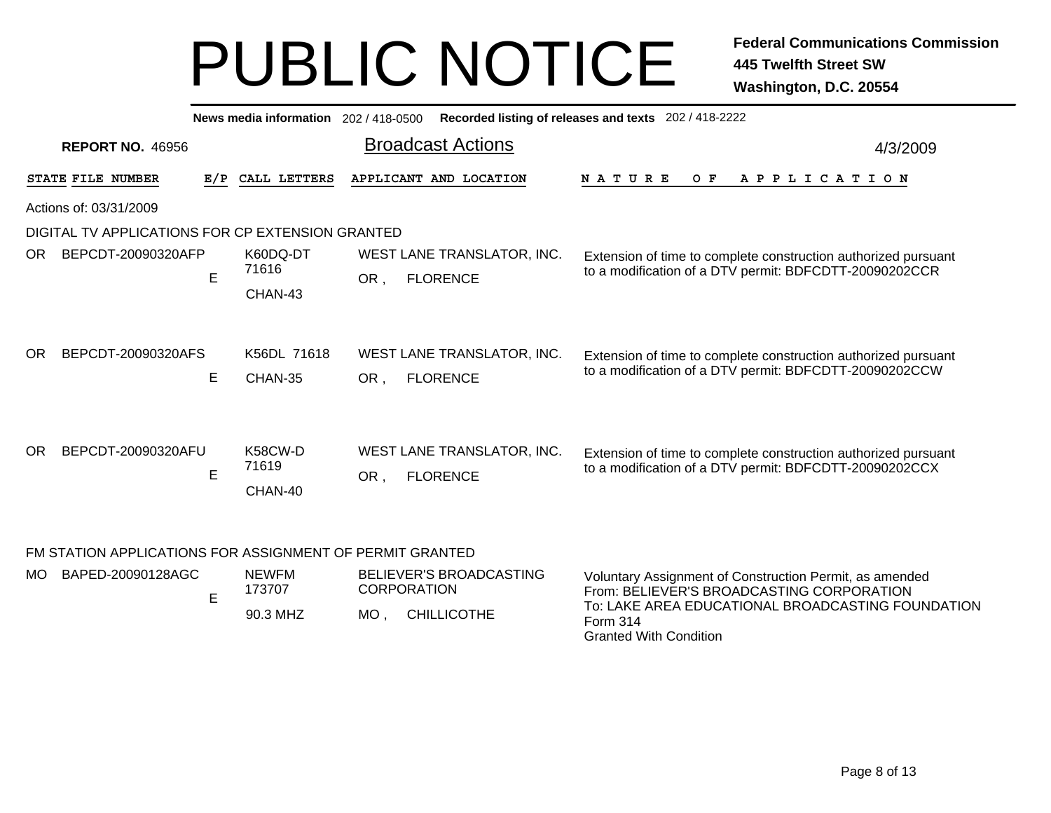| News media information $202/418-0500$                          |                                                      | Recorded listing of releases and texts 202 / 418-2222                                                                    |  |  |  |  |  |  |
|----------------------------------------------------------------|------------------------------------------------------|--------------------------------------------------------------------------------------------------------------------------|--|--|--|--|--|--|
| <b>REPORT NO. 46956</b>                                        | <b>Broadcast Actions</b>                             | 4/3/2009                                                                                                                 |  |  |  |  |  |  |
| STATE FILE NUMBER<br>CALL LETTERS<br>E/P                       | APPLICANT AND LOCATION                               | <b>NATURE</b><br>$O$ $F$<br>APPLICATION                                                                                  |  |  |  |  |  |  |
| Actions of: 03/31/2009                                         |                                                      |                                                                                                                          |  |  |  |  |  |  |
| DIGITAL TV APPLICATIONS FOR CP EXTENSION GRANTED               |                                                      |                                                                                                                          |  |  |  |  |  |  |
| BEPCDT-20090320AFP<br>K60DQ-DT<br>OR.<br>71616<br>E<br>CHAN-43 | WEST LANE TRANSLATOR, INC.<br><b>FLORENCE</b><br>OR, | Extension of time to complete construction authorized pursuant<br>to a modification of a DTV permit: BDFCDTT-20090202CCR |  |  |  |  |  |  |
| BEPCDT-20090320AFS<br>K56DL 71618<br>OR.<br>Е<br>CHAN-35       | WEST LANE TRANSLATOR, INC.<br><b>FLORENCE</b><br>OR, | Extension of time to complete construction authorized pursuant<br>to a modification of a DTV permit: BDFCDTT-20090202CCW |  |  |  |  |  |  |
| BEPCDT-20090320AFU<br>K58CW-D<br>OR.<br>71619<br>E<br>CHAN-40  | WEST LANE TRANSLATOR, INC.<br>OR,<br><b>FLORENCE</b> | Extension of time to complete construction authorized pursuant<br>to a modification of a DTV permit: BDFCDTT-20090202CCX |  |  |  |  |  |  |
| FM STATION APPLICATIONS FOR ASSIGNMENT OF PERMIT GRANTED       |                                                      |                                                                                                                          |  |  |  |  |  |  |
|                                                                |                                                      |                                                                                                                          |  |  |  |  |  |  |

| MO. | BAPED-20090128AGC | <b>NEWFM</b><br>173707 | BELIEVER'S BROADCASTING<br><b>CORPORATION</b> | Voluntary Assignment of Construction Permit, as amended<br>From: BELIEVER'S BROADCASTING CORPORATION |
|-----|-------------------|------------------------|-----------------------------------------------|------------------------------------------------------------------------------------------------------|
|     |                   | 90.3 MHZ               | <b>CHILLICOTHE</b><br>MO.                     | To: LAKE AREA EDUCATIONAL BROADCASTING FOUNDATION<br>Form 314<br><b>Granted With Condition</b>       |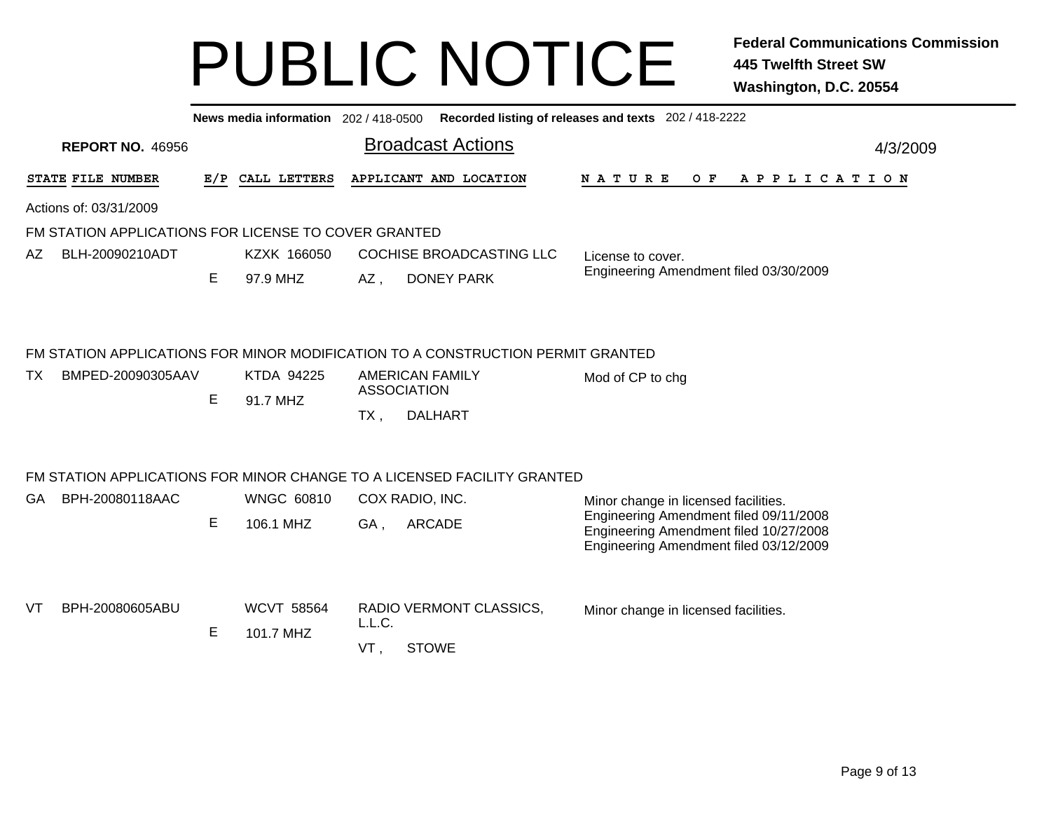|     |                         |                                                                                                                                                                                                                                                      | News media information 202/418-0500 |                                                                         | Recorded listing of releases and texts 202 / 418-2222                                                                      |          |
|-----|-------------------------|------------------------------------------------------------------------------------------------------------------------------------------------------------------------------------------------------------------------------------------------------|-------------------------------------|-------------------------------------------------------------------------|----------------------------------------------------------------------------------------------------------------------------|----------|
|     | <b>REPORT NO. 46956</b> |                                                                                                                                                                                                                                                      |                                     | <b>Broadcast Actions</b>                                                |                                                                                                                            | 4/3/2009 |
|     | STATE FILE NUMBER       |                                                                                                                                                                                                                                                      | E/P CALL LETTERS                    | APPLICANT AND LOCATION                                                  | NATURE<br>O F<br>A P P L I C A T I O N                                                                                     |          |
|     | Actions of: 03/31/2009  |                                                                                                                                                                                                                                                      |                                     |                                                                         |                                                                                                                            |          |
|     |                         |                                                                                                                                                                                                                                                      |                                     |                                                                         |                                                                                                                            |          |
| AZ  | BLH-20090210ADT         | FM STATION APPLICATIONS FOR LICENSE TO COVER GRANTED<br>KZXK 166050<br>COCHISE BROADCASTING LLC<br>License to cover.<br>Е<br>97.9 MHZ<br><b>DONEY PARK</b><br>AZ,<br>FM STATION APPLICATIONS FOR MINOR MODIFICATION TO A CONSTRUCTION PERMIT GRANTED |                                     |                                                                         |                                                                                                                            |          |
|     |                         |                                                                                                                                                                                                                                                      |                                     |                                                                         | Engineering Amendment filed 03/30/2009                                                                                     |          |
|     |                         |                                                                                                                                                                                                                                                      |                                     |                                                                         |                                                                                                                            |          |
| TX  | BMPED-20090305AAV       |                                                                                                                                                                                                                                                      | KTDA 94225                          | <b>AMERICAN FAMILY</b><br><b>ASSOCIATION</b>                            | Mod of CP to chg                                                                                                           |          |
|     |                         | E                                                                                                                                                                                                                                                    | 91.7 MHZ                            |                                                                         |                                                                                                                            |          |
|     |                         |                                                                                                                                                                                                                                                      |                                     | $TX$ ,<br><b>DALHART</b>                                                |                                                                                                                            |          |
|     |                         |                                                                                                                                                                                                                                                      |                                     | FM STATION APPLICATIONS FOR MINOR CHANGE TO A LICENSED FACILITY GRANTED |                                                                                                                            |          |
| GA. | BPH-20080118AAC         |                                                                                                                                                                                                                                                      | <b>WNGC 60810</b>                   | COX RADIO, INC.                                                         | Minor change in licensed facilities.                                                                                       |          |
|     |                         | Е                                                                                                                                                                                                                                                    | 106.1 MHZ                           | <b>ARCADE</b><br>GA,                                                    | Engineering Amendment filed 09/11/2008<br>Engineering Amendment filed 10/27/2008<br>Engineering Amendment filed 03/12/2009 |          |
| VT  | BPH-20080605ABU         | <b>WCVT 58564</b><br>Е                                                                                                                                                                                                                               |                                     | RADIO VERMONT CLASSICS,<br>L.L.C.                                       | Minor change in licensed facilities.                                                                                       |          |
|     |                         |                                                                                                                                                                                                                                                      | 101.7 MHZ                           | VT,<br><b>STOWE</b>                                                     |                                                                                                                            |          |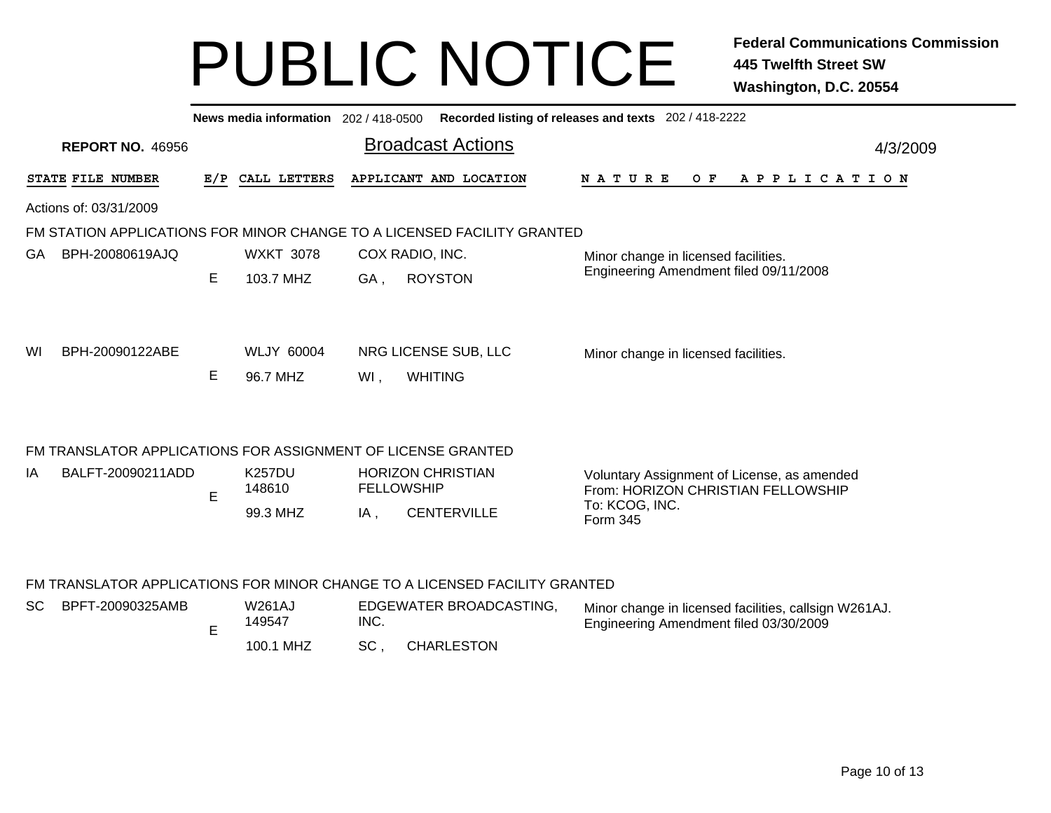|     |                                                                            |     | News media information 202/418-0500 |                                                              | Recorded listing of releases and texts 202 / 418-2222                                           |  |  |  |  |  |
|-----|----------------------------------------------------------------------------|-----|-------------------------------------|--------------------------------------------------------------|-------------------------------------------------------------------------------------------------|--|--|--|--|--|
|     | <b>REPORT NO. 46956</b>                                                    |     |                                     | <b>Broadcast Actions</b>                                     | 4/3/2009                                                                                        |  |  |  |  |  |
|     | STATE FILE NUMBER                                                          | E/P | CALL LETTERS                        | APPLICANT AND LOCATION                                       | $O$ $F$<br><b>NATURE</b><br>A P P L I C A T I O N                                               |  |  |  |  |  |
|     | Actions of: 03/31/2009                                                     |     |                                     |                                                              |                                                                                                 |  |  |  |  |  |
|     | FM STATION APPLICATIONS FOR MINOR CHANGE TO A LICENSED FACILITY GRANTED    |     |                                     |                                                              |                                                                                                 |  |  |  |  |  |
| GA. | BPH-20080619AJQ                                                            |     | <b>WXKT 3078</b>                    | COX RADIO, INC.                                              | Minor change in licensed facilities.                                                            |  |  |  |  |  |
|     |                                                                            | Е   | 103.7 MHZ                           | <b>ROYSTON</b><br>GA,                                        | Engineering Amendment filed 09/11/2008                                                          |  |  |  |  |  |
| WI  | BPH-20090122ABE                                                            | Е   | <b>WLJY 60004</b><br>96.7 MHZ       | NRG LICENSE SUB, LLC<br><b>WHITING</b><br>WI,                | Minor change in licensed facilities.                                                            |  |  |  |  |  |
|     |                                                                            |     |                                     | FM TRANSLATOR APPLICATIONS FOR ASSIGNMENT OF LICENSE GRANTED |                                                                                                 |  |  |  |  |  |
| ΙA  | BALFT-20090211ADD                                                          | E   | <b>K257DU</b><br>148610             | <b>HORIZON CHRISTIAN</b><br><b>FELLOWSHIP</b>                | Voluntary Assignment of License, as amended<br>From: HORIZON CHRISTIAN FELLOWSHIP               |  |  |  |  |  |
|     |                                                                            |     | 99.3 MHZ                            | <b>CENTERVILLE</b><br>IA,                                    | To: KCOG, INC.<br>Form 345                                                                      |  |  |  |  |  |
|     | FM TRANSLATOR APPLICATIONS FOR MINOR CHANGE TO A LICENSED FACILITY GRANTED |     |                                     |                                                              |                                                                                                 |  |  |  |  |  |
| SC. | BPFT-20090325AMB                                                           | E   | <b>W261AJ</b><br>149547             | EDGEWATER BROADCASTING.<br>INC.                              | Minor change in licensed facilities, callsign W261AJ.<br>Engineering Amendment filed 03/30/2009 |  |  |  |  |  |

100.1 MHZ, CHARLESTON SC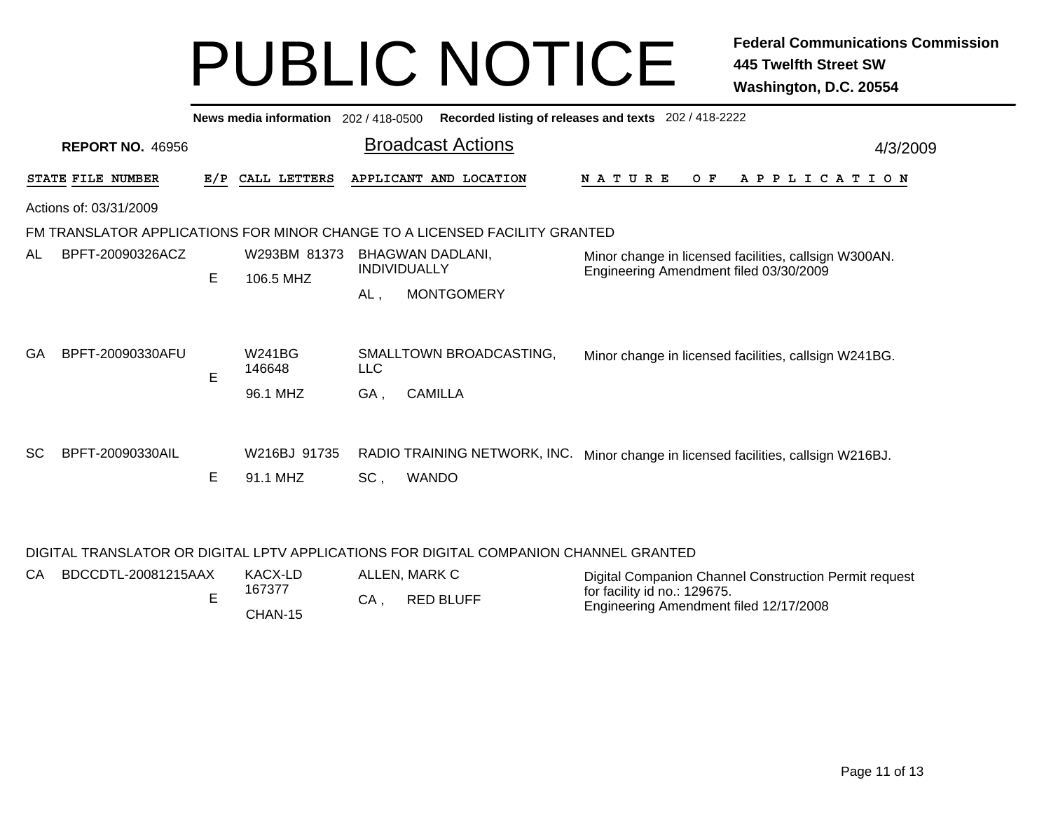| News media information 202 / 418-0500<br>Recorded listing of releases and texts 202 / 418-2222 |                         |     |                              |                                                |  |                                                                            |                                                                                                 |  |  |  |  |     |  |  |  |                       |  |  |          |  |  |  |
|------------------------------------------------------------------------------------------------|-------------------------|-----|------------------------------|------------------------------------------------|--|----------------------------------------------------------------------------|-------------------------------------------------------------------------------------------------|--|--|--|--|-----|--|--|--|-----------------------|--|--|----------|--|--|--|
|                                                                                                | <b>REPORT NO. 46956</b> |     |                              | <b>Broadcast Actions</b>                       |  |                                                                            |                                                                                                 |  |  |  |  |     |  |  |  |                       |  |  | 4/3/2009 |  |  |  |
|                                                                                                | STATE FILE NUMBER       | E/P | CALL LETTERS                 |                                                |  | APPLICANT AND LOCATION                                                     | N A T U R E                                                                                     |  |  |  |  | O F |  |  |  | A P P L I C A T I O N |  |  |          |  |  |  |
|                                                                                                | Actions of: 03/31/2009  |     |                              |                                                |  |                                                                            |                                                                                                 |  |  |  |  |     |  |  |  |                       |  |  |          |  |  |  |
|                                                                                                |                         |     |                              |                                                |  | FM TRANSLATOR APPLICATIONS FOR MINOR CHANGE TO A LICENSED FACILITY GRANTED |                                                                                                 |  |  |  |  |     |  |  |  |                       |  |  |          |  |  |  |
| AL.                                                                                            | BPFT-20090326ACZ        | E   | W293BM 81373                 | <b>BHAGWAN DADLANI,</b><br><b>INDIVIDUALLY</b> |  |                                                                            | Minor change in licensed facilities, callsign W300AN.<br>Engineering Amendment filed 03/30/2009 |  |  |  |  |     |  |  |  |                       |  |  |          |  |  |  |
|                                                                                                |                         |     | 106.5 MHZ                    | AL,                                            |  | <b>MONTGOMERY</b>                                                          |                                                                                                 |  |  |  |  |     |  |  |  |                       |  |  |          |  |  |  |
| GA                                                                                             | BPFT-20090330AFU        | E   | W241BG<br>146648<br>96.1 MHZ | <b>LLC</b><br>GA,                              |  | SMALLTOWN BROADCASTING,<br><b>CAMILLA</b>                                  | Minor change in licensed facilities, callsign W241BG.                                           |  |  |  |  |     |  |  |  |                       |  |  |          |  |  |  |
| <b>SC</b>                                                                                      | BPFT-20090330AIL        | Е   | W216BJ 91735<br>91.1 MHZ     | SC,                                            |  | RADIO TRAINING NETWORK, INC.<br><b>WANDO</b>                               | Minor change in licensed facilities, callsign W216BJ.                                           |  |  |  |  |     |  |  |  |                       |  |  |          |  |  |  |

#### DIGITAL TRANSLATOR OR DIGITAL LPTV APPLICATIONS FOR DIGITAL COMPANION CHANNEL GRANTED

| BDCCDTL-20081215AAX | KACX-LD   | ALLEN. MARK C | Digital Companion Channel Construction Permit request |  |  |  |  |  |
|---------------------|-----------|---------------|-------------------------------------------------------|--|--|--|--|--|
|                     | 167377    | RED BLUFF     | for facility id no.: 129675.                          |  |  |  |  |  |
|                     | $CHAN-15$ |               | Engineering Amendment filed 12/17/2008                |  |  |  |  |  |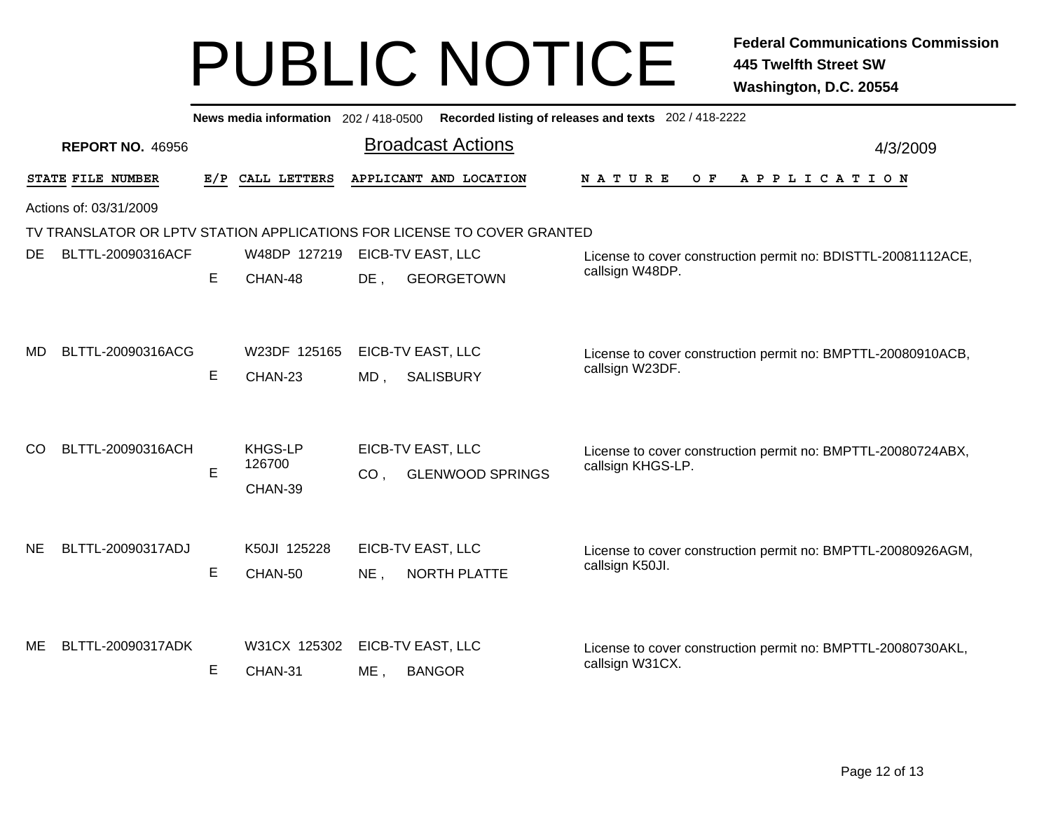| News media information 202 / 418-0500 Recorded listing of releases and texts 202 / 418-2222 |                         |     |                                     |                 |                                              |                                                                                   |          |  |  |  |  |  |
|---------------------------------------------------------------------------------------------|-------------------------|-----|-------------------------------------|-----------------|----------------------------------------------|-----------------------------------------------------------------------------------|----------|--|--|--|--|--|
|                                                                                             | <b>REPORT NO. 46956</b> |     |                                     |                 | <b>Broadcast Actions</b>                     |                                                                                   | 4/3/2009 |  |  |  |  |  |
|                                                                                             | STATE FILE NUMBER       | E/P | CALL LETTERS                        |                 | APPLICANT AND LOCATION                       | <b>NATURE</b><br>O F<br>A P P L I C A T I O N                                     |          |  |  |  |  |  |
| Actions of: 03/31/2009                                                                      |                         |     |                                     |                 |                                              |                                                                                   |          |  |  |  |  |  |
| TV TRANSLATOR OR LPTV STATION APPLICATIONS FOR LICENSE TO COVER GRANTED                     |                         |     |                                     |                 |                                              |                                                                                   |          |  |  |  |  |  |
| DE.                                                                                         | BLTTL-20090316ACF       |     | W48DP 127219                        |                 | EICB-TV EAST, LLC                            | License to cover construction permit no: BDISTTL-20081112ACE,                     |          |  |  |  |  |  |
|                                                                                             |                         | E   | CHAN-48                             | DE,             | <b>GEORGETOWN</b>                            | callsign W48DP.                                                                   |          |  |  |  |  |  |
| MD.                                                                                         | BLTTL-20090316ACG       | E   | W23DF 125165<br>CHAN-23             | MD,             | EICB-TV EAST, LLC<br><b>SALISBURY</b>        | License to cover construction permit no: BMPTTL-20080910ACB,<br>callsign W23DF.   |          |  |  |  |  |  |
| <sub>CO</sub>                                                                               | BLTTL-20090316ACH       | Е   | <b>KHGS-LP</b><br>126700<br>CHAN-39 | CO <sub>1</sub> | EICB-TV EAST, LLC<br><b>GLENWOOD SPRINGS</b> | License to cover construction permit no: BMPTTL-20080724ABX,<br>callsign KHGS-LP. |          |  |  |  |  |  |
| <b>NE</b>                                                                                   | BLTTL-20090317ADJ       | Е   | K50JI 125228<br>CHAN-50             | NE,             | EICB-TV EAST, LLC<br><b>NORTH PLATTE</b>     | License to cover construction permit no: BMPTTL-20080926AGM,<br>callsign K50JI.   |          |  |  |  |  |  |
| ME                                                                                          | BLTTL-20090317ADK       | Е   | W31CX 125302<br>CHAN-31             | ME,             | EICB-TV EAST, LLC<br><b>BANGOR</b>           | License to cover construction permit no: BMPTTL-20080730AKL,<br>callsign W31CX.   |          |  |  |  |  |  |